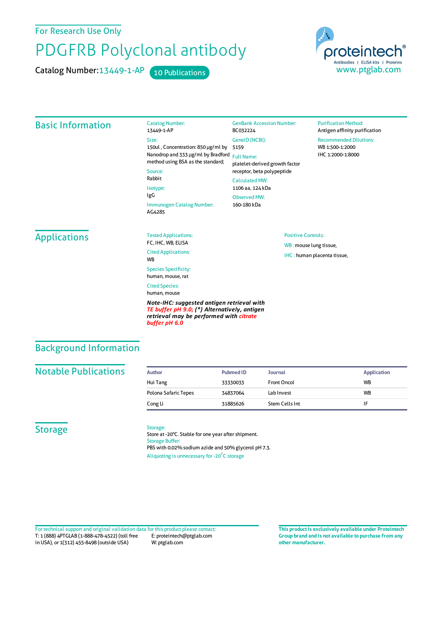For Research Use Only

# PDGFRB Polyclonal antibody

Catalog Number: 13449-1-AP 10 Publications



#### Basic Information Catalog Number: 13449-1-AP Size: 150ul , Concentration: 850 μg/ml by 5159 Nanodrop and 333 μg/ml by Bradford Full Name: method using BSA as the standard; Source: Rabbit Isotype: IgG Immunogen Catalog Number: AG4285 GenBank Accession Number: BC032224 GeneID(NCBI): platelet-derived growth factor receptor, beta polypeptide CalculatedMW: 1106 aa, 124 kDa ObservedMW: 160-180 kDa **Purification Method:** Antigen affinity purification Recommended Dilutions: WB 1:500-1:2000 IHC 1:2000-1:8000 **Applications** Tested Applications: FC, IHC, WB, ELISA Cited Applications: **W<sub>R</sub>** Species Specificity: human, mouse, rat Cited Species: human, mouse *Note-IHC: suggested antigen retrieval with TE buffer pH 9.0; (\*) Alternatively, antigen* Positive Controls: WB : mouse lung tissue, IHC : human placenta tissue,

*retrieval may be performed with citrate*

## Background Information

#### **Notable Publications**

| Author               | <b>Pubmed ID</b> | <b>Journal</b>     | <b>Application</b> |
|----------------------|------------------|--------------------|--------------------|
| Hui Tang             | 33330033         | <b>Front Oncol</b> | <b>WB</b>          |
| Polona Safaric Tepes | 34837064         | Lab Invest         | <b>WB</b>          |
| Cong Li              | 31885626         | Stem Cells Int     |                    |

#### **Storage**

#### Storage:

*buffer pH 6.0*

Store at -20°C. Stable for one year after shipment. Storage Buffer: PBS with 0.02% sodium azide and 50% glycerol pH 7.3. Aliquoting is unnecessary for -20<sup>°</sup>C storage

T: 1 (888) 4PTGLAB (1-888-478-4522) (toll free in USA), or 1(312) 455-8498 (outside USA) E: proteintech@ptglab.com W: ptglab.com Fortechnical support and original validation data forthis product please contact: **This productis exclusively available under Proteintech**

**Group brand and is not available to purchase from any other manufacturer.**